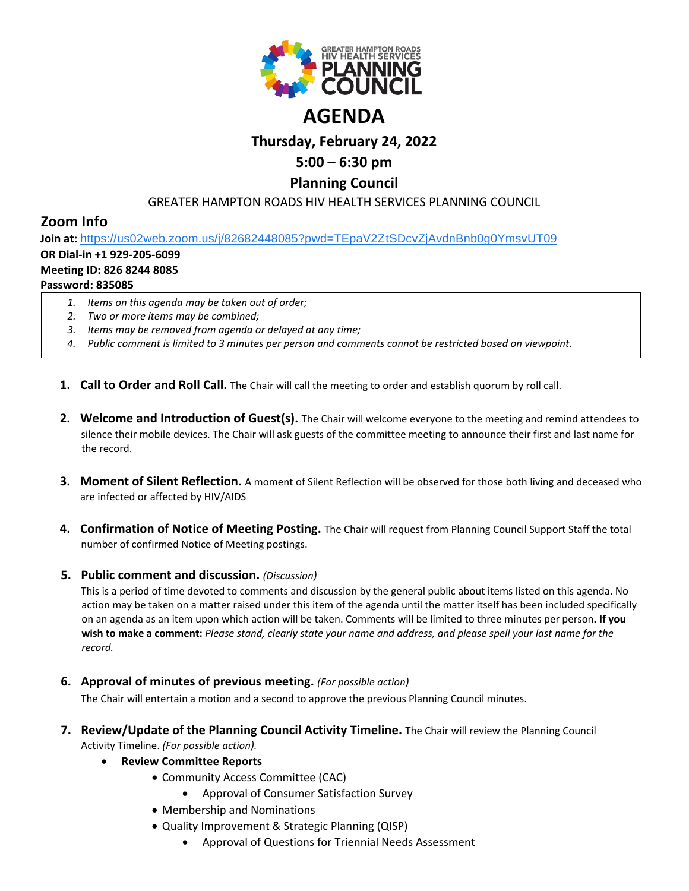

# **Thursday, February 24, 2022**

## **5:00 – 6:30 pm**

### **Planning Council**

#### GREATER HAMPTON ROADS HIV HEALTH SERVICES PLANNING COUNCIL

## **Zoom Info**

**Join at:** [https://us02web.zoom.us/j/82682448085?pwd=TEpaV2ZtSDcvZjAvdnBnb0g0YmsvUT09](https://www.google.com/url?q=https://us02web.zoom.us/j/82682448085?pwd%3DTEpaV2ZtSDcvZjAvdnBnb0g0YmsvUT09&sa=D&source=calendar&ust=1619875881860000&usg=AOvVaw0zwYUyYOogd54DiewQ0YcP)

### **OR Dial-in +1 929-205-6099**

#### **Meeting ID: 826 8244 8085**

#### **Password: 835085**

- *1. Items on this agenda may be taken out of order;*
- *2. Two or more items may be combined;*
- *3. Items may be removed from agenda or delayed at any time;*
- *4. Public comment is limited to 3 minutes per person and comments cannot be restricted based on viewpoint.*
- **1. Call to Order and Roll Call.** The Chair will call the meeting to order and establish quorum by roll call.
- **2. Welcome and Introduction of Guest(s).** The Chair will welcome everyone to the meeting and remind attendees to silence their mobile devices. The Chair will ask guests of the committee meeting to announce their first and last name for the record.
- **3. Moment of Silent Reflection.** A moment of Silent Reflection will be observed for those both living and deceased who are infected or affected by HIV/AIDS
- **4. Confirmation of Notice of Meeting Posting.** The Chair will request from Planning Council Support Staff the total number of confirmed Notice of Meeting postings.

#### **5. Public comment and discussion.** *(Discussion)*

This is a period of time devoted to comments and discussion by the general public about items listed on this agenda. No action may be taken on a matter raised under this item of the agenda until the matter itself has been included specifically on an agenda as an item upon which action will be taken. Comments will be limited to three minutes per person**. If you wish to make a comment:** *Please stand, clearly state your name and address, and please spell your last name for the record.*

**6. Approval of minutes of previous meeting.** *(For possible action)*

The Chair will entertain a motion and a second to approve the previous Planning Council minutes.

**7. Review/Update of the Planning Council Activity Timeline.** The Chair will review the Planning Council Activity Timeline. *(For possible action).*

#### • **Review Committee Reports**

- Community Access Committee (CAC)
	- Approval of Consumer Satisfaction Survey
- Membership and Nominations
- Quality Improvement & Strategic Planning (QISP)
	- Approval of Questions for Triennial Needs Assessment